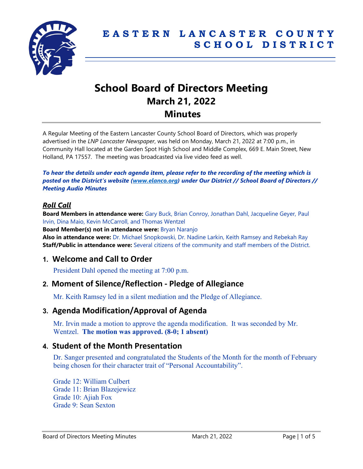

# **School Board of Directors Meeting March 21, 2022 Minutes**

A Regular Meeting of the Eastern Lancaster County School Board of Directors, which was properly advertised in the *LNP Lancaster Newspaper*, was held on Monday, March 21, 2022 at 7:00 p.m., in Community Hall located at the Garden Spot High School and Middle Complex, 669 E. Main Street, New Holland, PA 17557. The meeting was broadcasted via live video feed as well.

*To hear the details under each agenda item, please refer to the recording of the meeting which is posted on the District's website [\(www.elanco.org\)](www.elanco.org) under Our District // School Board of Directors // Meeting Audio Minutes*

## *Roll Call*

**Board Members in attendance were:** Gary Buck, Brian Conroy, Jonathan Dahl, Jacqueline Geyer, Paul Irvin, Dina Maio, Kevin McCarroll, and Thomas Wentzel

**Board Member(s) not in attendance were:** Bryan Naranjo

**Also in attendance were:** Dr. Michael Snopkowski, Dr. Nadine Larkin, Keith Ramsey and Rebekah Ray **Staff/Public in attendance were:** Several citizens of the community and staff members of the District.

# **1. Welcome and Call to Order**

President Dahl opened the meeting at 7:00 p.m.

## **2. Moment of Silence/Reflection - Pledge of Allegiance**

Mr. Keith Ramsey led in a silent mediation and the Pledge of Allegiance.

# **3. Agenda Modification/Approval of Agenda**

Mr. Irvin made a motion to approve the agenda modification. It was seconded by Mr. Wentzel. **The motion was approved. (8-0; 1 absent)**

# **4. Student of the Month Presentation**

Dr. Sanger presented and congratulated the Students of the Month for the month of February being chosen for their character trait of "Personal Accountability".

Grade 12: William Culbert Grade 11: Brian Blazejewicz Grade 10: Ajiah Fox Grade 9: Sean Sexton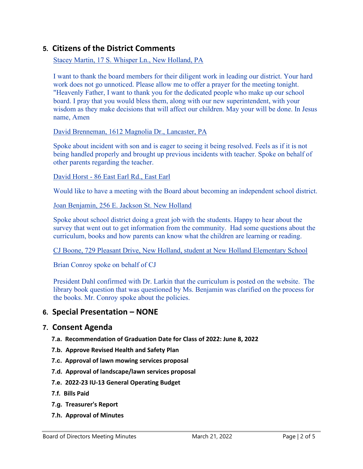# **5. Citizens of the District Comments**

#### Stacey Martin, 17 S. Whisper Ln., New Holland, PA

I want to thank the board members for their diligent work in leading our district. Your hard work does not go unnoticed. Please allow me to offer a prayer for the meeting tonight. "Heavenly Father, I want to thank you for the dedicated people who make up our school board. I pray that you would bless them, along with our new superintendent, with your wisdom as they make decisions that will affect our children. May your will be done. In Jesus name, Amen

#### David Brenneman, 1612 Magnolia Dr., Lancaster, PA

Spoke about incident with son and is eager to seeing it being resolved. Feels as if it is not being handled properly and brought up previous incidents with teacher. Spoke on behalf of other parents regarding the teacher.

#### David Horst - 86 East Earl Rd., East Earl

Would like to have a meeting with the Board about becoming an independent school district.

#### Joan Benjamin, 256 E. Jackson St. New Holland

Spoke about school district doing a great job with the students. Happy to hear about the survey that went out to get information from the community. Had some questions about the curriculum, books and how parents can know what the children are learning or reading.

CJ Boone, 729 Pleasant Drive, New Holland, student at New Holland Elementary School

Brian Conroy spoke on behalf of CJ

President Dahl confirmed with Dr. Larkin that the curriculum is posted on the website. The library book question that was questioned by Ms. Benjamin was clarified on the process for the books. Mr. Conroy spoke about the policies.

## **6. Special Presentation – NONE**

## **7. Consent Agenda**

- **7.a. Recommendation of Graduation Date for Class of 2022: June 8, 2022**
- **7.b. Approve Revised Health and Safety Plan**
- **7.c. Approval of lawn mowing services proposal**
- **7.d. Approval of landscape/lawn services proposal**
- **7.e. 2022-23 IU-13 General Operating Budget**
- **7.f. Bills Paid**
- **7.g. Treasurer's Report**
- **7.h. Approval of Minutes**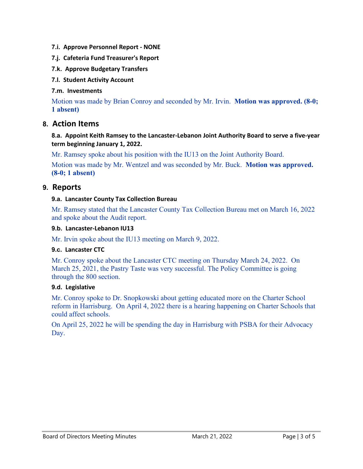- **7.i. Approve Personnel Report - NONE**
- **7.j. Cafeteria Fund Treasurer's Report**
- **7.k. Approve Budgetary Transfers**
- **7.l. Student Activity Account**

#### **7.m. Investments**

Motion was made by Brian Conroy and seconded by Mr. Irvin. **Motion was approved. (8-0; 1 absent)**

# **8. Action Items**

**8.a. Appoint Keith Ramsey to the Lancaster-Lebanon Joint Authority Board to serve a five-year term beginning January 1, 2022.**

Mr. Ramsey spoke about his position with the IU13 on the Joint Authority Board.

Motion was made by Mr. Wentzel and was seconded by Mr. Buck. **Motion was approved. (8-0; 1 absent)**

## **9. Reports**

#### **9.a. Lancaster County Tax Collection Bureau**

Mr. Ramsey stated that the Lancaster County Tax Collection Bureau met on March 16, 2022 and spoke about the Audit report.

#### **9.b. Lancaster-Lebanon IU13**

Mr. Irvin spoke about the IU13 meeting on March 9, 2022.

#### **9.c. Lancaster CTC**

Mr. Conroy spoke about the Lancaster CTC meeting on Thursday March 24, 2022. On March 25, 2021, the Pastry Taste was very successful. The Policy Committee is going through the 800 section.

#### **9.d. Legislative**

Mr. Conroy spoke to Dr. Snopkowski about getting educated more on the Charter School reform in Harrisburg. On April 4, 2022 there is a hearing happening on Charter Schools that could affect schools.

On April 25, 2022 he will be spending the day in Harrisburg with PSBA for their Advocacy Day.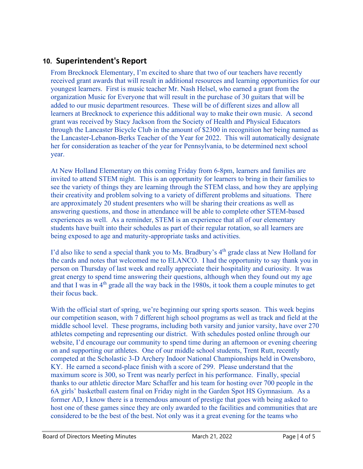# **10. Superintendent's Report**

From Brecknock Elementary, I'm excited to share that two of our teachers have recently received grant awards that will result in additional resources and learning opportunities for our youngest learners. First is music teacher Mr. Nash Helsel, who earned a grant from the organization Music for Everyone that will result in the purchase of 30 guitars that will be added to our music department resources. These will be of different sizes and allow all learners at Brecknock to experience this additional way to make their own music. A second grant was received by Stacy Jackson from the Society of Health and Physical Educators through the Lancaster Bicycle Club in the amount of \$2300 in recognition her being named as the Lancaster-Lebanon-Berks Teacher of the Year for 2022. This will automatically designate her for consideration as teacher of the year for Pennsylvania, to be determined next school year.

At New Holland Elementary on this coming Friday from 6-8pm, learners and families are invited to attend STEM night. This is an opportunity for learners to bring in their families to see the variety of things they are learning through the STEM class, and how they are applying their creativity and problem solving to a variety of different problems and situations. There are approximately 20 student presenters who will be sharing their creations as well as answering questions, and those in attendance will be able to complete other STEM-based experiences as well. As a reminder, STEM is an experience that all of our elementary students have built into their schedules as part of their regular rotation, so all learners are being exposed to age and maturity-appropriate tasks and activities.

I'd also like to send a special thank you to Ms. Bradbury's 4<sup>th</sup> grade class at New Holland for the cards and notes that welcomed me to ELANCO. I had the opportunity to say thank you in person on Thursday of last week and really appreciate their hospitality and curiosity. It was great energy to spend time answering their questions, although when they found out my age and that I was in  $4<sup>th</sup>$  grade all the way back in the 1980s, it took them a couple minutes to get their focus back.

With the official start of spring, we're beginning our spring sports season. This week begins our competition season, with 7 different high school programs as well as track and field at the middle school level. These programs, including both varsity and junior varsity, have over 270 athletes competing and representing our district. With schedules posted online through our website, I'd encourage our community to spend time during an afternoon or evening cheering on and supporting our athletes. One of our middle school students, Trent Rutt, recently competed at the Scholastic 3-D Archery Indoor National Championships held in Owensboro, KY. He earned a second-place finish with a score of 299. Please understand that the maximum score is 300, so Trent was nearly perfect in his performance. Finally, special thanks to our athletic director Marc Schaffer and his team for hosting over 700 people in the 6A girls' basketball eastern final on Friday night in the Garden Spot HS Gymnasium. As a former AD, I know there is a tremendous amount of prestige that goes with being asked to host one of these games since they are only awarded to the facilities and communities that are considered to be the best of the best. Not only was it a great evening for the teams who